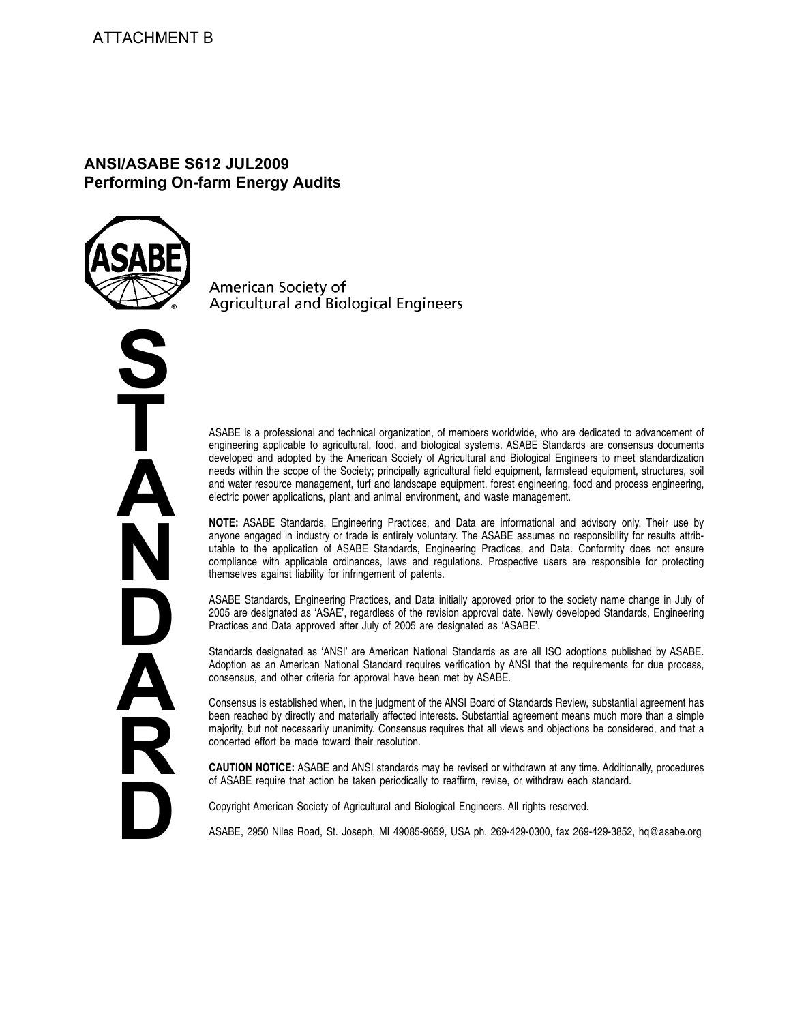# **ANSI/ASABE S612 JUL2009 Performing On-farm Energy Audits**



**S T A N D A R D** American Society of **Agricultural and Biological Engineers** 

ASABE is a professional and technical organization, of members worldwide, who are dedicated to advancement of engineering applicable to agricultural, food, and biological systems. ASABE Standards are consensus documents developed and adopted by the American Society of Agricultural and Biological Engineers to meet standardization needs within the scope of the Society; principally agricultural field equipment, farmstead equipment, structures, soil and water resource management, turf and landscape equipment, forest engineering, food and process engineering, electric power applications, plant and animal environment, and waste management.

**NOTE:** ASABE Standards, Engineering Practices, and Data are informational and advisory only. Their use by anyone engaged in industry or trade is entirely voluntary. The ASABE assumes no responsibility for results attributable to the application of ASABE Standards, Engineering Practices, and Data. Conformity does not ensure compliance with applicable ordinances, laws and regulations. Prospective users are responsible for protecting themselves against liability for infringement of patents.

ASABE Standards, Engineering Practices, and Data initially approved prior to the society name change in July of 2005 are designated as 'ASAE', regardless of the revision approval date. Newly developed Standards, Engineering Practices and Data approved after July of 2005 are designated as 'ASABE'.

Standards designated as 'ANSI' are American National Standards as are all ISO adoptions published by ASABE. Adoption as an American National Standard requires verification by ANSI that the requirements for due process, consensus, and other criteria for approval have been met by ASABE.

Consensus is established when, in the judgment of the ANSI Board of Standards Review, substantial agreement has been reached by directly and materially affected interests. Substantial agreement means much more than a simple majority, but not necessarily unanimity. Consensus requires that all views and objections be considered, and that a concerted effort be made toward their resolution.

**CAUTION NOTICE:** ASABE and ANSI standards may be revised or withdrawn at any time. Additionally, procedures of ASABE require that action be taken periodically to reaffirm, revise, or withdraw each standard.

Copyright American Society of Agricultural and Biological Engineers. All rights reserved.

ASABE, 2950 Niles Road, St. Joseph, MI 49085-9659, USA ph. 269-429-0300, fax 269-429-3852, hq@asabe.org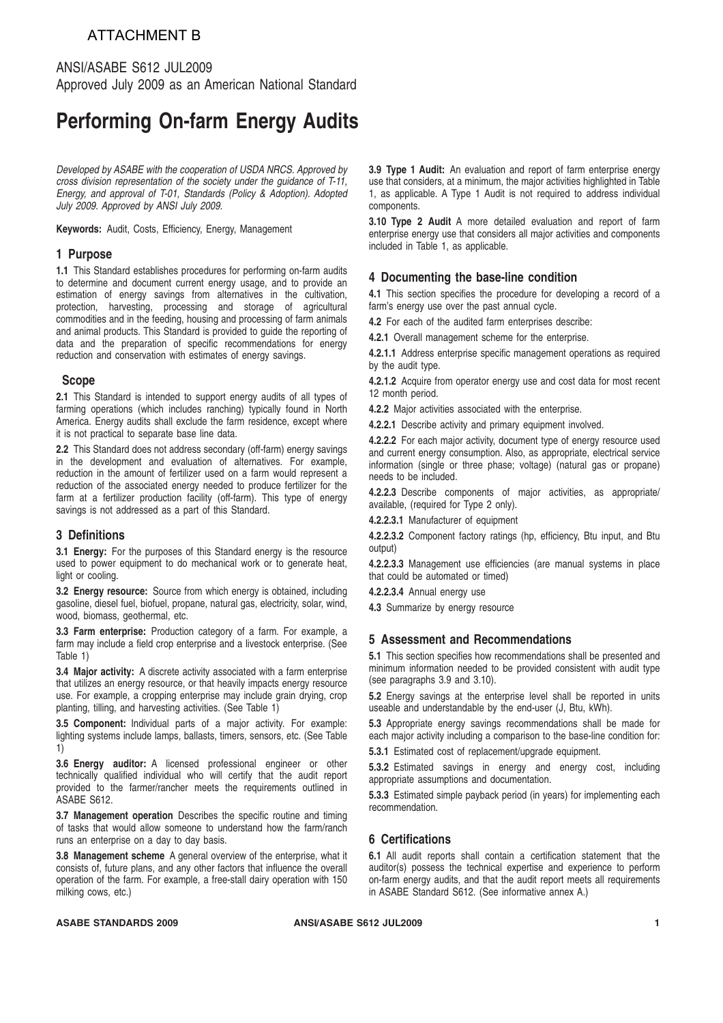# ATTACHMENT B

## ANSI/ASABE S612 JUL2009 Approved July 2009 as an American National Standard

# **Performing On-farm Energy Audits**

*Developed by ASABE with the cooperation of USDA NRCS. Approved by cross division representation of the society under the guidance of T-11, Energy, and approval of T-01, Standards (Policy & Adoption). Adopted July 2009. Approved by ANSI July 2009.*

**Keywords:** Audit, Costs, Efficiency, Energy, Management

#### **1 Purpose**

**1.1** This Standard establishes procedures for performing on-farm audits to determine and document current energy usage, and to provide an estimation of energy savings from alternatives in the cultivation, protection, harvesting, processing and storage of agricultural commodities and in the feeding, housing and processing of farm animals and animal products. This Standard is provided to guide the reporting of data and the preparation of specific recommendations for energy reduction and conservation with estimates of energy savings.

### **Scope**

**2.1** This Standard is intended to support energy audits of all types of farming operations (which includes ranching) typically found in North America. Energy audits shall exclude the farm residence, except where it is not practical to separate base line data.

**2.2** This Standard does not address secondary (off-farm) energy savings in the development and evaluation of alternatives. For example, reduction in the amount of fertilizer used on a farm would represent a reduction of the associated energy needed to produce fertilizer for the farm at a fertilizer production facility (off-farm). This type of energy savings is not addressed as a part of this Standard.

## **3 Definitions**

**3.1 Energy:** For the purposes of this Standard energy is the resource used to power equipment to do mechanical work or to generate heat, light or cooling.

**3.2 Energy resource:** Source from which energy is obtained, including gasoline, diesel fuel, biofuel, propane, natural gas, electricity, solar, wind, wood, biomass, geothermal, etc.

**3.3 Farm enterprise:** Production category of a farm. For example, a farm may include a field crop enterprise and a livestock enterprise. (See Table 1)

**3.4 Major activity:** A discrete activity associated with a farm enterprise that utilizes an energy resource, or that heavily impacts energy resource use. For example, a cropping enterprise may include grain drying, crop planting, tilling, and harvesting activities. (See Table 1)

**3.5 Component:** Individual parts of a major activity. For example: lighting systems include lamps, ballasts, timers, sensors, etc. (See Table 1)

**3.6 Energy auditor:** A licensed professional engineer or other technically qualified individual who will certify that the audit report provided to the farmer/rancher meets the requirements outlined in ASABE S612.

**3.7 Management operation** Describes the specific routine and timing of tasks that would allow someone to understand how the farm/ranch runs an enterprise on a day to day basis.

**3.8 Management scheme** A general overview of the enterprise, what it consists of, future plans, and any other factors that influence the overall operation of the farm. For example, a free-stall dairy operation with 150 milking cows, etc.)

**3.9 Type 1 Audit:** An evaluation and report of farm enterprise energy use that considers, at a minimum, the major activities highlighted in Table 1, as applicable. A Type 1 Audit is not required to address individual components.

**3.10 Type 2 Audit** A more detailed evaluation and report of farm enterprise energy use that considers all major activities and components included in Table 1, as applicable.

### **4 Documenting the base-line condition**

**4.1** This section specifies the procedure for developing a record of a farm's energy use over the past annual cycle.

**4.2** For each of the audited farm enterprises describe:

**4.2.1** Overall management scheme for the enterprise.

**4.2.1.1** Address enterprise specific management operations as required by the audit type.

**4.2.1.2** Acquire from operator energy use and cost data for most recent 12 month period.

**4.2.2** Major activities associated with the enterprise.

**4.2.2.1** Describe activity and primary equipment involved.

**4.2.2.2** For each major activity, document type of energy resource used and current energy consumption. Also, as appropriate, electrical service information (single or three phase; voltage) (natural gas or propane) needs to be included.

**4.2.2.3** Describe components of major activities, as appropriate/ available, (required for Type 2 only).

**4.2.2.3.1** Manufacturer of equipment

**4.2.2.3.2** Component factory ratings (hp, efficiency, Btu input, and Btu output)

**4.2.2.3.3** Management use efficiencies (are manual systems in place that could be automated or timed)

**4.2.2.3.4** Annual energy use

**4.3** Summarize by energy resource

## **5 Assessment and Recommendations**

**5.1** This section specifies how recommendations shall be presented and minimum information needed to be provided consistent with audit type (see paragraphs 3.9 and 3.10).

**5.2** Energy savings at the enterprise level shall be reported in units useable and understandable by the end-user (J, Btu, kWh).

**5.3** Appropriate energy savings recommendations shall be made for each major activity including a comparison to the base-line condition for:

**5.3.1** Estimated cost of replacement/upgrade equipment.

**5.3.2** Estimated savings in energy and energy cost, including appropriate assumptions and documentation.

**5.3.3** Estimated simple payback period (in years) for implementing each recommendation.

## **6 Certifications**

**6.1** All audit reports shall contain a certification statement that the auditor(s) possess the technical expertise and experience to perform on-farm energy audits, and that the audit report meets all requirements in ASABE Standard S612. (See informative annex A.)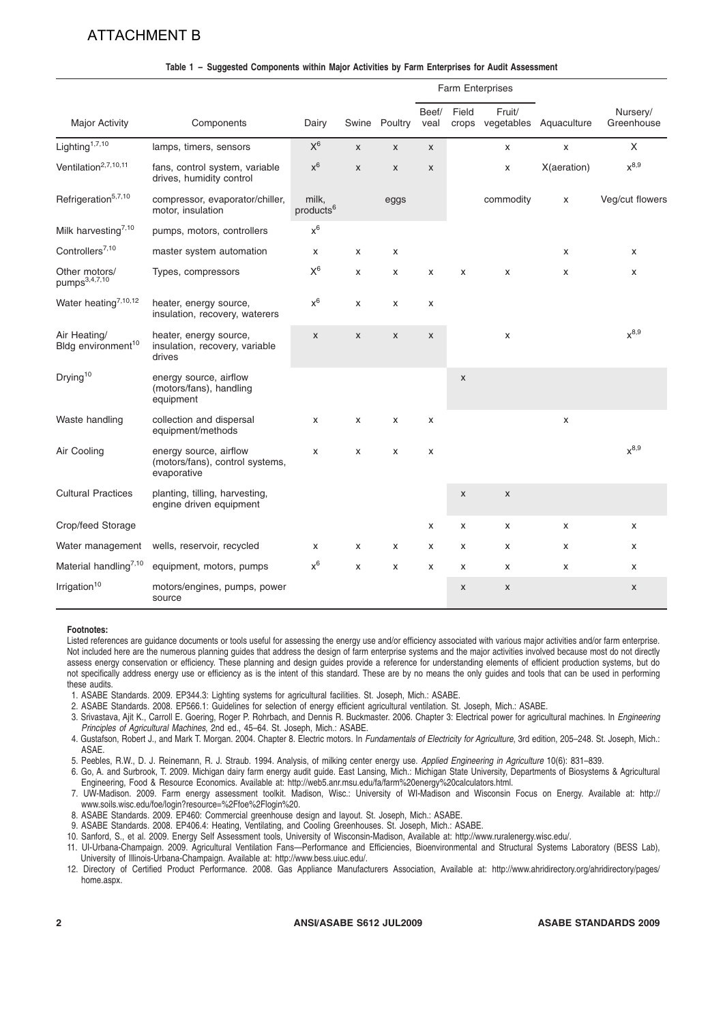# ATTACHMENT B

|                                                |                                                                          |                                |              |               | Farm Enterprises   |                    |                    |                              |                        |
|------------------------------------------------|--------------------------------------------------------------------------|--------------------------------|--------------|---------------|--------------------|--------------------|--------------------|------------------------------|------------------------|
| <b>Major Activity</b>                          | Components                                                               | Dairy                          |              | Swine Poultry | Beef/<br>veal      | Field              | Fruit/             | crops vegetables Aquaculture | Nursery/<br>Greenhouse |
| Lighting <sup>1,7,10</sup>                     | lamps, timers, sensors                                                   | $\mathsf{X}^6$                 | $\mathsf{x}$ | $\mathsf{x}$  | $\mathsf{x}$       |                    | X                  | X                            | X                      |
| Ventilation <sup>2,7,10,11</sup>               | fans, control system, variable<br>drives, humidity control               | $x^6$                          | X            | $\pmb{\chi}$  | $\pmb{\mathsf{X}}$ |                    | X                  | X(aeration)                  | $x^{8,9}$              |
| Refrigeration <sup>5,7,10</sup>                | compressor, evaporator/chiller,<br>motor, insulation                     | milk,<br>products <sup>6</sup> |              | eggs          |                    |                    | commodity          | X                            | Veg/cut flowers        |
| Milk harvesting <sup>7,10</sup>                | pumps, motors, controllers                                               | $\mathsf{x}^6$                 |              |               |                    |                    |                    |                              |                        |
| Controllers <sup>7,10</sup>                    | master system automation                                                 | X                              | x            | X             |                    |                    |                    | x                            | X                      |
| Other motors/<br>pumps <sup>3,4,7,10</sup>     | Types, compressors                                                       | $\mathsf{X}^6$                 | X            | X             | X                  | X                  | X                  | X                            | X                      |
| Water heating <sup>7,10,12</sup>               | heater, energy source,<br>insulation, recovery, waterers                 | $\mathsf{x}^6$                 | X            | X             | X                  |                    |                    |                              |                        |
| Air Heating/<br>Bldg environment <sup>10</sup> | heater, energy source,<br>insulation, recovery, variable<br>drives       | $\pmb{\chi}$                   | X            | $\pmb{\chi}$  | $\pmb{\mathsf{X}}$ |                    | X                  |                              | $x^{8,9}$              |
| Drying <sup>10</sup>                           | energy source, airflow<br>(motors/fans), handling<br>equipment           |                                |              |               |                    | $\pmb{\mathsf{X}}$ |                    |                              |                        |
| Waste handling                                 | collection and dispersal<br>equipment/methods                            | $\boldsymbol{\mathsf{x}}$      | X            | X             | X                  |                    |                    | X                            |                        |
| Air Cooling                                    | energy source, airflow<br>(motors/fans), control systems,<br>evaporative | X                              | x            | X             | X                  |                    |                    |                              | $x^{8,9}$              |
| <b>Cultural Practices</b>                      | planting, tilling, harvesting,<br>engine driven equipment                |                                |              |               |                    | $\pmb{\mathsf{X}}$ | X                  |                              |                        |
| Crop/feed Storage                              |                                                                          |                                |              |               | X                  | X                  | x                  | X                            | X                      |
| Water management                               | wells, reservoir, recycled                                               | x                              | х            | X             | X                  | x                  | x                  | x                            | X                      |
| Material handling <sup>7,10</sup>              | equipment, motors, pumps                                                 | $x^6$                          | X            | X             | X                  | X                  | x                  | x                            | X                      |
| Irrigation <sup>10</sup>                       | motors/engines, pumps, power<br>source                                   |                                |              |               |                    | $\mathsf X$        | $\pmb{\mathsf{x}}$ |                              | $\pmb{\mathsf{X}}$     |

#### **Table 1 – Suggested Components within Major Activities by Farm Enterprises for Audit Assessment**

#### **Footnotes:**

Listed references are guidance documents or tools useful for assessing the energy use and/or efficiency associated with various major activities and/or farm enterprise. Not included here are the numerous planning guides that address the design of farm enterprise systems and the major activities involved because most do not directly assess energy conservation or efficiency. These planning and design guides provide a reference for understanding elements of efficient production systems, but do not specifically address energy use or efficiency as is the intent of this standard. These are by no means the only guides and tools that can be used in performing these audits.

- 1. ASABE Standards. 2009. EP344.3: Lighting systems for agricultural facilities. St. Joseph, Mich.: ASABE.
- 2. ASABE Standards. 2008. EP566.1: Guidelines for selection of energy efficient agricultural ventilation. St. Joseph, Mich.: ASABE.
- 3. Srivastava, Ajit K., Carroll E. Goering, Roger P. Rohrbach, and Dennis R. Buckmaster. 2006. Chapter 3: Electrical power for agricultural machines. In *Engineering Principles of Agricultural Machines*, 2nd ed., 45–64. St. Joseph, Mich.: ASABE.
- 4. Gustafson, Robert J., and Mark T. Morgan. 2004. Chapter 8. Electric motors. In *Fundamentals of Electricity for Agriculture*, 3rd edition, 205–248. St. Joseph, Mich.: ASAE.
- 5. Peebles, R.W., D. J. Reinemann, R. J. Straub. 1994. Analysis, of milking center energy use. *Applied Engineering in Agriculture* 10(6): 831–839.
- 6. Go, A. and Surbrook, T. 2009. Michigan dairy farm energy audit guide. East Lansing, Mich.: Michigan State University, Departments of Biosystems & Agricultural Engineering, Food & Resource Economics. Available at: http://web5.anr.msu.edu/fa/farm%20energy%20calculators.html.
- 7. UW-Madison. 2009. Farm energy assessment toolkit. Madison, Wisc.: University of WI-Madison and Wisconsin Focus on Energy. Available at: http:// www.soils.wisc.edu/foe/login?resource=%2Ffoe%2Flogin%20.
- 8. ASABE Standards. 2009. EP460: Commercial greenhouse design and layout. St. Joseph, Mich.: ASABE.
- 9. ASABE Standards. 2008. EP406.4: Heating, Ventilating, and Cooling Greenhouses. St. Joseph, Mich.: ASABE.
- 10. Sanford, S., et al. 2009. Energy Self Assessment tools, University of Wisconsin-Madison, Available at: http://www.ruralenergy.wisc.edu/.
- 11. UI-Urbana-Champaign. 2009. Agricultural Ventilation Fans—Performance and Efficiencies, Bioenvironmental and Structural Systems Laboratory (BESS Lab),
- University of Illinois-Urbana-Champaign. Available at: http://www.bess.uiuc.edu/.
- 12. Directory of Certified Product Performance. 2008. Gas Appliance Manufacturers Association, Available at: http://www.ahridirectory.org/ahridirectory/pages/ home.aspx.